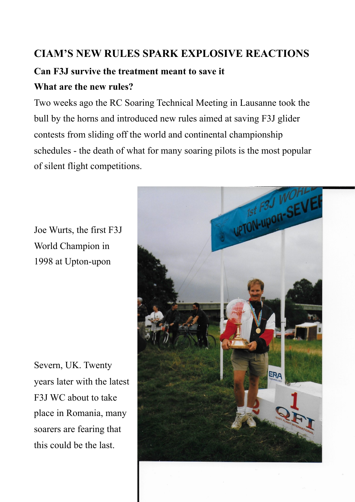## **CIAM'S NEW RULES SPARK EXPLOSIVE REACTIONS**

# **Can F3J survive the treatment meant to save it What are the new rules?**

Two weeks ago the RC Soaring Technical Meeting in Lausanne took the bull by the horns and introduced new rules aimed at saving F3J glider contests from sliding off the world and continental championship schedules - the death of what for many soaring pilots is the most popular of silent flight competitions.

Joe Wurts, the first F3J World Champion in 1998 at Upton-upon

Severn, UK. Twenty years later with the latest F3J WC about to take place in Romania, many soarers are fearing that this could be the last.

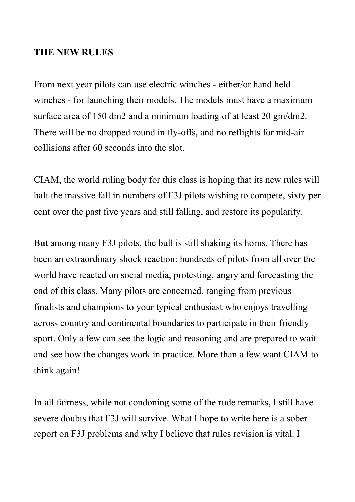#### **THE NEW RULES**

From next year pilots can use electric winches - either/or hand held winches - for launching their models. The models must have a maximum surface area of 150 dm2 and a minimum loading of at least 20 gm/dm2. There will be no dropped round in fly-offs, and no reflights for mid-air collisions after 60 seconds into the slot.

CIAM, the world ruling body for this class is hoping that its new rules will halt the massive fall in numbers of F3J pilots wishing to compete, sixty per cent over the past five years and still falling, and restore its popularity.

But among many F3J pilots, the bull is still shaking its horns. There has been an extraordinary shock reaction: hundreds of pilots from all over the world have reacted on social media, protesting, angry and forecasting the end of this class. Many pilots are concerned, ranging from previous finalists and champions to your typical enthusiast who enjoys travelling across country and continental boundaries to participate in their friendly sport. Only a few can see the logic and reasoning and are prepared to wait and see how the changes work in practice. More than a few want CIAM to think again!

In all fairness, while not condoning some of the rude remarks, I still have severe doubts that F3J will survive. What I hope to write here is a sober report on F3J problems and why I believe that rules revision is vital. I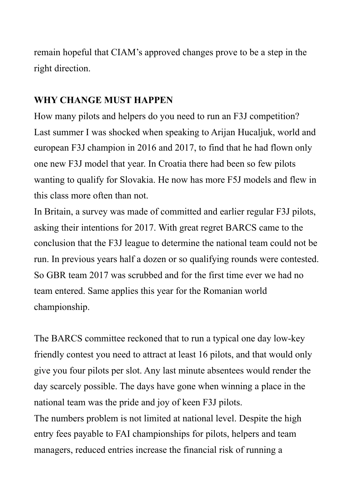remain hopeful that CIAM's approved changes prove to be a step in the right direction.

### **WHY CHANGE MUST HAPPEN**

How many pilots and helpers do you need to run an F3J competition? Last summer I was shocked when speaking to Arijan Hucaljuk, world and european F3J champion in 2016 and 2017, to find that he had flown only one new F3J model that year. In Croatia there had been so few pilots wanting to qualify for Slovakia. He now has more F5J models and flew in this class more often than not.

In Britain, a survey was made of committed and earlier regular F3J pilots, asking their intentions for 2017. With great regret BARCS came to the conclusion that the F3J league to determine the national team could not be run. In previous years half a dozen or so qualifying rounds were contested. So GBR team 2017 was scrubbed and for the first time ever we had no team entered. Same applies this year for the Romanian world championship.

The BARCS committee reckoned that to run a typical one day low-key friendly contest you need to attract at least 16 pilots, and that would only give you four pilots per slot. Any last minute absentees would render the day scarcely possible. The days have gone when winning a place in the national team was the pride and joy of keen F3J pilots.

The numbers problem is not limited at national level. Despite the high entry fees payable to FAI championships for pilots, helpers and team managers, reduced entries increase the financial risk of running a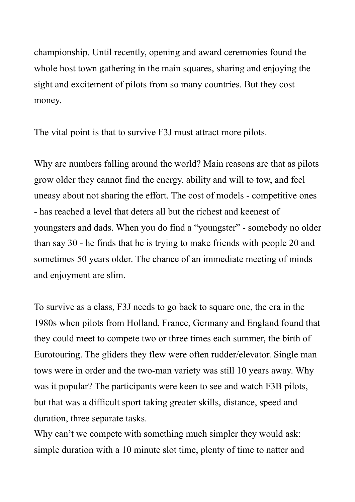championship. Until recently, opening and award ceremonies found the whole host town gathering in the main squares, sharing and enjoying the sight and excitement of pilots from so many countries. But they cost money.

The vital point is that to survive F3J must attract more pilots.

Why are numbers falling around the world? Main reasons are that as pilots grow older they cannot find the energy, ability and will to tow, and feel uneasy about not sharing the effort. The cost of models - competitive ones - has reached a level that deters all but the richest and keenest of youngsters and dads. When you do find a "youngster" - somebody no older than say 30 - he finds that he is trying to make friends with people 20 and sometimes 50 years older. The chance of an immediate meeting of minds and enjoyment are slim.

To survive as a class, F3J needs to go back to square one, the era in the 1980s when pilots from Holland, France, Germany and England found that they could meet to compete two or three times each summer, the birth of Eurotouring. The gliders they flew were often rudder/elevator. Single man tows were in order and the two-man variety was still 10 years away. Why was it popular? The participants were keen to see and watch F3B pilots, but that was a difficult sport taking greater skills, distance, speed and duration, three separate tasks.

Why can't we compete with something much simpler they would ask: simple duration with a 10 minute slot time, plenty of time to natter and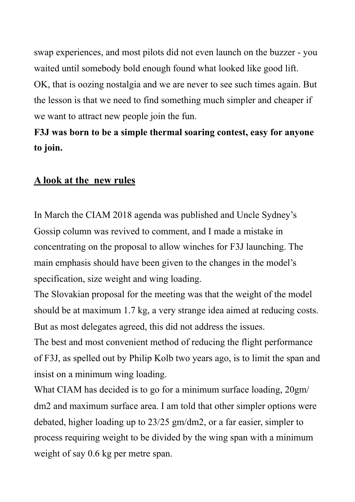swap experiences, and most pilots did not even launch on the buzzer - you waited until somebody bold enough found what looked like good lift. OK, that is oozing nostalgia and we are never to see such times again. But the lesson is that we need to find something much simpler and cheaper if we want to attract new people join the fun.

# **F3J was born to be a simple thermal soaring contest, easy for anyone to join.**

#### **A look at the new rules**

In March the CIAM 2018 agenda was published and Uncle Sydney's Gossip column was revived to comment, and I made a mistake in concentrating on the proposal to allow winches for F3J launching. The main emphasis should have been given to the changes in the model's specification, size weight and wing loading.

The Slovakian proposal for the meeting was that the weight of the model should be at maximum 1.7 kg, a very strange idea aimed at reducing costs. But as most delegates agreed, this did not address the issues.

The best and most convenient method of reducing the flight performance of F3J, as spelled out by Philip Kolb two years ago, is to limit the span and insist on a minimum wing loading.

What CIAM has decided is to go for a minimum surface loading, 20gm/ dm2 and maximum surface area. I am told that other simpler options were debated, higher loading up to 23/25 gm/dm2, or a far easier, simpler to process requiring weight to be divided by the wing span with a minimum weight of say  $0.6$  kg per metre span.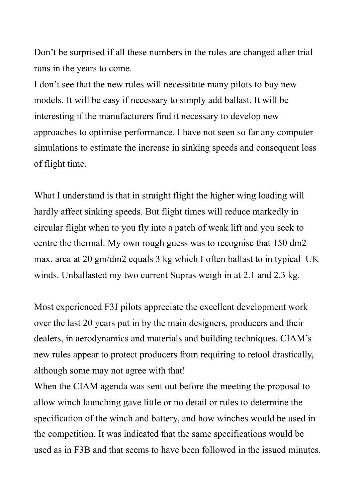Don't be surprised if all these numbers in the rules are changed after trial runs in the years to come.

I don't see that the new rules will necessitate many pilots to buy new models. It will be easy if necessary to simply add ballast. It will be interesting if the manufacturers find it necessary to develop new approaches to optimise performance. I have not seen so far any computer simulations to estimate the increase in sinking speeds and consequent loss of flight time.

What I understand is that in straight flight the higher wing loading will hardly affect sinking speeds. But flight times will reduce markedly in circular flight when to you fly into a patch of weak lift and you seek to centre the thermal. My own rough guess was to recognise that 150 dm2 max. area at 20 gm/dm2 equals 3 kg which I often ballast to in typical UK winds. Unballasted my two current Supras weigh in at 2.1 and 2.3 kg.

Most experienced F3J pilots appreciate the excellent development work over the last 20 years put in by the main designers, producers and their dealers, in aerodynamics and materials and building techniques. CIAM's new rules appear to protect producers from requiring to retool drastically, although some may not agree with that!

When the CIAM agenda was sent out before the meeting the proposal to allow winch launching gave little or no detail or rules to determine the specification of the winch and battery, and how winches would be used in the competition. It was indicated that the same specifications would be used as in F3B and that seems to have been followed in the issued minutes.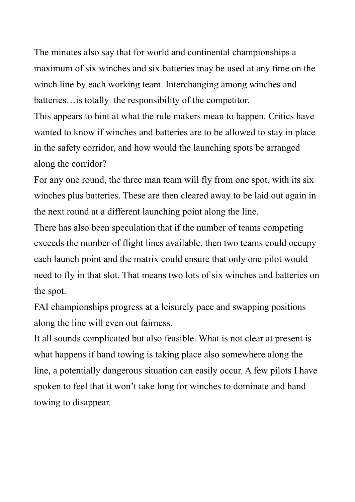The minutes also say that for world and continental championships a maximum of six winches and six batteries may be used at any time on the winch line by each working team. Interchanging among winches and batteries…is totally the responsibility of the competitor.

This appears to hint at what the rule makers mean to happen. Critics have wanted to know if winches and batteries are to be allowed to stay in place in the safety corridor, and how would the launching spots be arranged along the corridor?

For any one round, the three man team will fly from one spot, with its six winches plus batteries. These are then cleared away to be laid out again in the next round at a different launching point along the line.

There has also been speculation that if the number of teams competing exceeds the number of flight lines available, then two teams could occupy each launch point and the matrix could ensure that only one pilot would need to fly in that slot. That means two lots of six winches and batteries on the spot.

FAI championships progress at a leisurely pace and swapping positions along the line will even out fairness.

It all sounds complicated but also feasible. What is not clear at present is what happens if hand towing is taking place also somewhere along the line, a potentially dangerous situation can easily occur. A few pilots I have spoken to feel that it won't take long for winches to dominate and hand towing to disappear.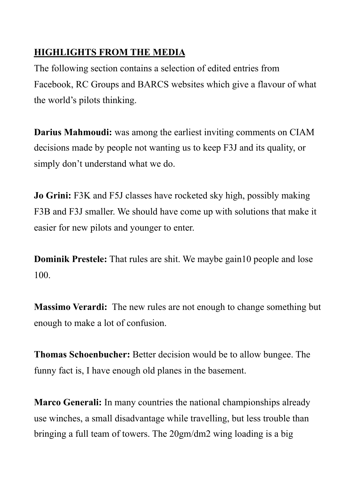### **HIGHLIGHTS FROM THE MEDIA**

The following section contains a selection of edited entries from Facebook, RC Groups and BARCS websites which give a flavour of what the world's pilots thinking.

**Darius Mahmoudi:** was among the earliest inviting comments on CIAM decisions made by people not wanting us to keep F3J and its quality, or simply don't understand what we do.

**Jo Grini:** F3K and F5J classes have rocketed sky high, possibly making F3B and F3J smaller. We should have come up with solutions that make it easier for new pilots and younger to enter.

**Dominik Prestele:** That rules are shit. We maybe gain10 people and lose 100.

**Massimo Verardi:** The new rules are not enough to change something but enough to make a lot of confusion.

**Thomas Schoenbucher:** Better decision would be to allow bungee. The funny fact is, I have enough old planes in the basement.

**Marco Generali:** In many countries the national championships already use winches, a small disadvantage while travelling, but less trouble than bringing a full team of towers. The 20gm/dm2 wing loading is a big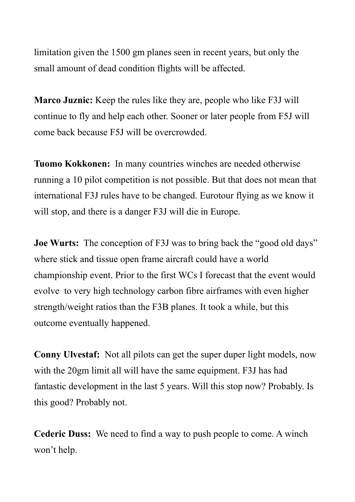limitation given the 1500 gm planes seen in recent years, but only the small amount of dead condition flights will be affected.

**Marco Juznic:** Keep the rules like they are, people who like F3J will continue to fly and help each other. Sooner or later people from F5J will come back because F5J will be overcrowded.

**Tuomo Kokkonen:** In many countries winches are needed otherwise running a 10 pilot competition is not possible. But that does not mean that international F3J rules have to be changed. Eurotour flying as we know it will stop, and there is a danger F3J will die in Europe.

**Joe Wurts:** The conception of F3J was to bring back the "good old days" where stick and tissue open frame aircraft could have a world championship event. Prior to the first WCs I forecast that the event would evolve to very high technology carbon fibre airframes with even higher strength/weight ratios than the F3B planes. It took a while, but this outcome eventually happened.

**Conny Ulvestaf:** Not all pilots can get the super duper light models, now with the 20gm limit all will have the same equipment. F3J has had fantastic development in the last 5 years. Will this stop now? Probably. Is this good? Probably not.

**Cederic Duss:** We need to find a way to push people to come. A winch won't help.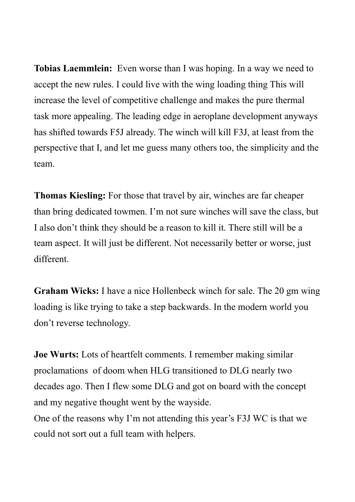**Tobias Laemmlein:** Even worse than I was hoping. In a way we need to accept the new rules. I could live with the wing loading thing This will increase the level of competitive challenge and makes the pure thermal task more appealing. The leading edge in aeroplane development anyways has shifted towards F5J already. The winch will kill F3J, at least from the perspective that I, and let me guess many others too, the simplicity and the team.

**Thomas Kiesling:** For those that travel by air, winches are far cheaper than bring dedicated towmen. I'm not sure winches will save the class, but I also don't think they should be a reason to kill it. There still will be a team aspect. It will just be different. Not necessarily better or worse, just different.

**Graham Wicks:** I have a nice Hollenbeck winch for sale. The 20 gm wing loading is like trying to take a step backwards. In the modern world you don't reverse technology.

**Joe Wurts:** Lots of heartfelt comments. I remember making similar proclamations of doom when HLG transitioned to DLG nearly two decades ago. Then I flew some DLG and got on board with the concept and my negative thought went by the wayside.

One of the reasons why I'm not attending this year's F3J WC is that we could not sort out a full team with helpers.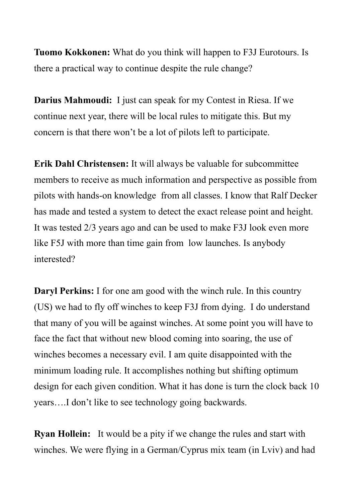**Tuomo Kokkonen:** What do you think will happen to F3J Eurotours. Is there a practical way to continue despite the rule change?

**Darius Mahmoudi:** I just can speak for my Contest in Riesa. If we continue next year, there will be local rules to mitigate this. But my concern is that there won't be a lot of pilots left to participate.

**Erik Dahl Christensen:** It will always be valuable for subcommittee members to receive as much information and perspective as possible from pilots with hands-on knowledge from all classes. I know that Ralf Decker has made and tested a system to detect the exact release point and height. It was tested 2/3 years ago and can be used to make F3J look even more like F5J with more than time gain from low launches. Is anybody interested?

**Daryl Perkins:** I for one am good with the winch rule. In this country (US) we had to fly off winches to keep F3J from dying. I do understand that many of you will be against winches. At some point you will have to face the fact that without new blood coming into soaring, the use of winches becomes a necessary evil. I am quite disappointed with the minimum loading rule. It accomplishes nothing but shifting optimum design for each given condition. What it has done is turn the clock back 10 years….I don't like to see technology going backwards.

**Ryan Hollein:** It would be a pity if we change the rules and start with winches. We were flying in a German/Cyprus mix team (in Lviv) and had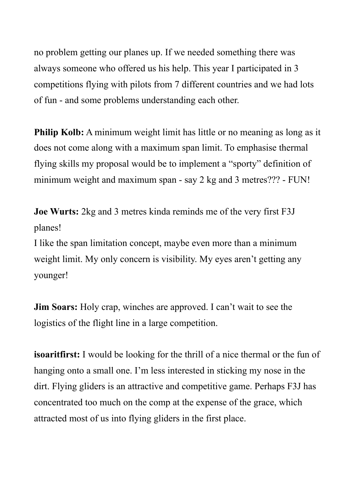no problem getting our planes up. If we needed something there was always someone who offered us his help. This year I participated in 3 competitions flying with pilots from 7 different countries and we had lots of fun - and some problems understanding each other.

**Philip Kolb:** A minimum weight limit has little or no meaning as long as it does not come along with a maximum span limit. To emphasise thermal flying skills my proposal would be to implement a "sporty" definition of minimum weight and maximum span - say 2 kg and 3 metres??? - FUN!

**Joe Wurts:** 2kg and 3 metres kinda reminds me of the very first F3J planes!

I like the span limitation concept, maybe even more than a minimum weight limit. My only concern is visibility. My eyes aren't getting any younger!

**Jim Soars:** Holy crap, winches are approved. I can't wait to see the logistics of the flight line in a large competition.

**isoaritfirst:** I would be looking for the thrill of a nice thermal or the fun of hanging onto a small one. I'm less interested in sticking my nose in the dirt. Flying gliders is an attractive and competitive game. Perhaps F3J has concentrated too much on the comp at the expense of the grace, which attracted most of us into flying gliders in the first place.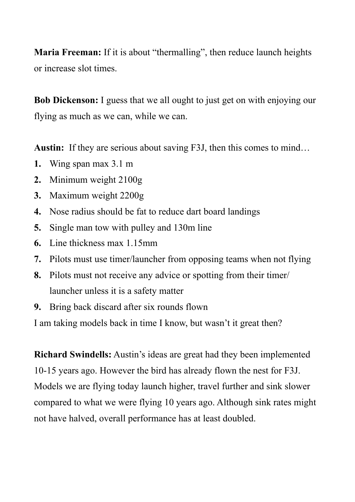**Maria Freeman:** If it is about "thermalling", then reduce launch heights or increase slot times.

**Bob Dickenson:** I guess that we all ought to just get on with enjoying our flying as much as we can, while we can.

**Austin:** If they are serious about saving F3J, then this comes to mind…

- **1.** Wing span max 3.1 m
- **2.** Minimum weight 2100g
- **3.** Maximum weight 2200g
- **4.** Nose radius should be fat to reduce dart board landings
- **5.** Single man tow with pulley and 130m line
- **6.** Line thickness max 1.15mm
- **7.** Pilots must use timer/launcher from opposing teams when not flying
- **8.** Pilots must not receive any advice or spotting from their timer/ launcher unless it is a safety matter
- **9.** Bring back discard after six rounds flown

I am taking models back in time I know, but wasn't it great then?

**Richard Swindells:** Austin's ideas are great had they been implemented 10-15 years ago. However the bird has already flown the nest for F3J. Models we are flying today launch higher, travel further and sink slower compared to what we were flying 10 years ago. Although sink rates might not have halved, overall performance has at least doubled.